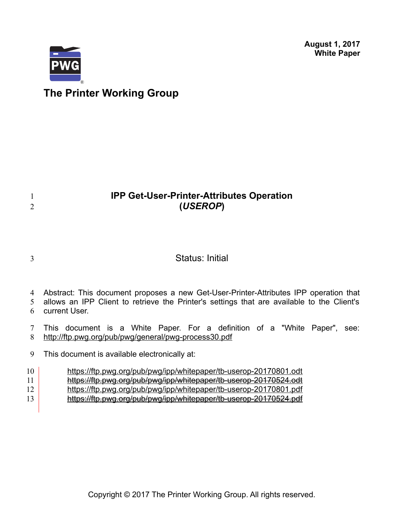**August 1, 2017 White Paper**



# **The Printer Working Group**

# **IPP Get-User-Printer-Attributes Operation (***USEROP***)**

3

1 2

## Status: Initial

4 Abstract: This document proposes a new Get-User-Printer-Attributes IPP operation that

allows an IPP Client to retrieve the Printer's settings that are available to the Client's 5

current User. 6

This document is a White Paper. For a definition of a "White Paper", see: <http://ftp.pwg.org/pub/pwg/general/pwg-process30.pdf> 7 8

This document is available electronically at: 9

<https://ftp.pwg.org/pub/pwg/ipp/whitepaper/tb-userop-20170801.odt> 10

- <https://ftp.pwg.org/pub/pwg/ipp/whitepaper/tb-userop-20170524.odt> 11
- <https://ftp.pwg.org/pub/pwg/ipp/whitepaper/tb-userop-20170801.pdf> 12
- <https://ftp.pwg.org/pub/pwg/ipp/whitepaper/tb-userop-20170524.pdf> 13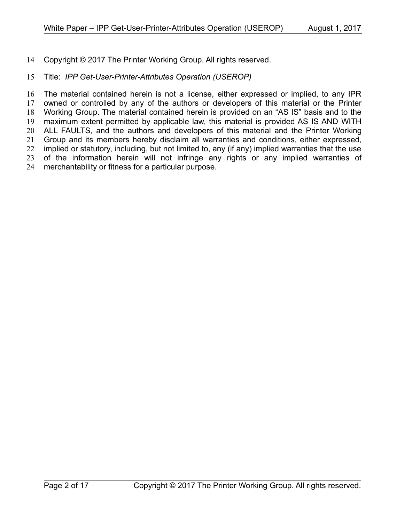Copyright © 2017 The Printer Working Group. All rights reserved. 14

#### Title: *IPP Get-User-Printer-Attributes Operation (USEROP)* 15

The material contained herein is not a license, either expressed or implied, to any IPR owned or controlled by any of the authors or developers of this material or the Printer Working Group. The material contained herein is provided on an "AS IS" basis and to the maximum extent permitted by applicable law, this material is provided AS IS AND WITH ALL FAULTS, and the authors and developers of this material and the Printer Working Group and its members hereby disclaim all warranties and conditions, either expressed, implied or statutory, including, but not limited to, any (if any) implied warranties that the use of the information herein will not infringe any rights or any implied warranties of merchantability or fitness for a particular purpose. 16 17 18 19 20 21 22 23 24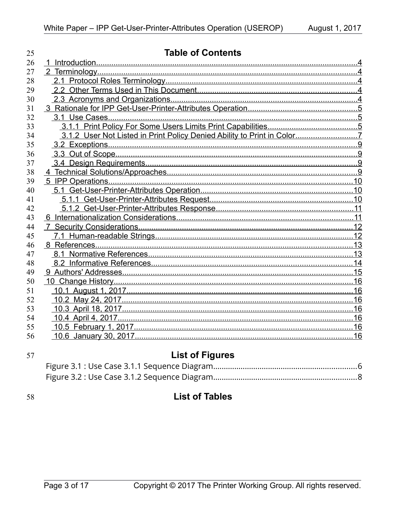| 25 | <b>Table of Contents</b> |  |
|----|--------------------------|--|
| 26 |                          |  |
| 27 |                          |  |
| 28 |                          |  |
| 29 |                          |  |
| 30 |                          |  |
| 31 |                          |  |
| 32 |                          |  |
| 33 |                          |  |
| 34 |                          |  |
| 35 |                          |  |
| 36 |                          |  |
| 37 |                          |  |
| 38 |                          |  |
| 39 |                          |  |
| 40 |                          |  |
| 41 |                          |  |
| 42 |                          |  |
| 43 |                          |  |
| 44 |                          |  |
| 45 |                          |  |
| 46 |                          |  |
| 47 |                          |  |
| 48 |                          |  |
| 49 |                          |  |
| 50 |                          |  |
| 51 |                          |  |
| 52 |                          |  |
| 53 |                          |  |
| 54 |                          |  |
| 55 |                          |  |
| 56 |                          |  |

### 57

# **List of Figures**

58

# **List of Tables**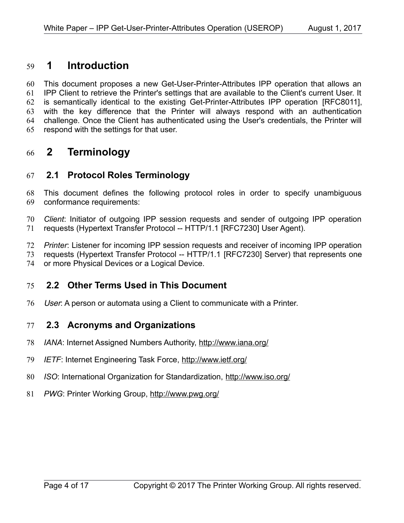#### <span id="page-3-4"></span> **1 Introduction** 59

This document proposes a new Get-User-Printer-Attributes IPP operation that allows an IPP Client to retrieve the Printer's settings that are available to the Client's current User. It is semantically identical to the existing Get-Printer-Attributes IPP operation IRFC80111. with the key difference that the Printer will always respond with an authentication challenge. Once the Client has authenticated using the User's credentials, the Printer will respond with the settings for that user. 60 61 62 63 64 65

#### <span id="page-3-3"></span> **2 Terminology** 66

#### <span id="page-3-2"></span> **2.1 Protocol Roles Terminology** 67

This document defines the following protocol roles in order to specify unambiguous conformance requirements: 68 69

*Client*: Initiator of outgoing IPP session requests and sender of outgoing IPP operation requests (Hypertext Transfer Protocol -- HTTP/1.1 [\[RFC7230\]](#page-14-1) User Agent). 70 71

*Printer*: Listener for incoming IPP session requests and receiver of incoming IPP operation 72

requests (Hypertext Transfer Protocol -- HTTP/1.1 [\[RFC7230\]](#page-14-1) Server) that represents one 73

or more Physical Devices or a Logical Device. 74

#### <span id="page-3-1"></span> **2.2 Other Terms Used in This Document** 75

User: A person or automata using a Client to communicate with a Printer. 76

#### <span id="page-3-0"></span> **2.3 Acronyms and Organizations** 77

- *IANA*: Internet Assigned Numbers Authority,<http://www.iana.org/> 78
- *IETF*: Internet Engineering Task Force,<http://www.ietf.org/> 79
- *ISO*: International Organization for Standardization,<http://www.iso.org/> 80
- *PWG*: Printer Working Group,<http://www.pwg.org/> 81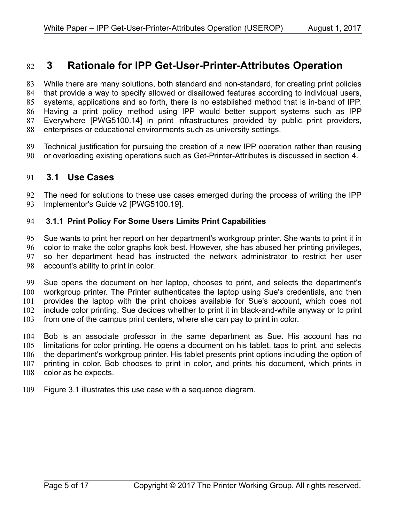#### <span id="page-4-2"></span> **3 Rationale for IPP Get-User-Printer-Attributes Operation** 82

While there are many solutions, both standard and non-standard, for creating print policies that provide a way to specify allowed or disallowed features according to individual users, systems, applications and so forth, there is no established method that is in-band of IPP. Having a print policy method using IPP would better support systems such as IPP Everywhere [\[PWG5100.14\]](#page-13-3) in print infrastructures provided by public print providers, enterprises or educational environments such as university settings. 83 84 85 86 87 88

Technical justification for pursuing the creation of a new IPP operation rather than reusing or overloading existing operations such as Get-Printer-Attributes is discussed in section [4.](#page-9-0) 89 90

#### <span id="page-4-1"></span> **3.1 Use Cases** 91

The need for solutions to these use cases emerged during the process of writing the IPP Implementor's Guide v2 [\[PWG5100.19\].](#page-13-2) 92 93

#### <span id="page-4-0"></span> **3.1.1 Print Policy For Some Users Limits Print Capabilities** 94

Sue wants to print her report on her department's workgroup printer. She wants to print it in color to make the color graphs look best. However, she has abused her printing privileges, so her department head has instructed the network administrator to restrict her user account's ability to print in color. 95 96 97 98

Sue opens the document on her laptop, chooses to print, and selects the department's workgroup printer. The Printer authenticates the laptop using Sue's credentials, and then provides the laptop with the print choices available for Sue's account, which does not include color printing. Sue decides whether to print it in black-and-white anyway or to print from one of the campus print centers, where she can pay to print in color. 99 100 101 102 103

Bob is an associate professor in the same department as Sue. His account has no limitations for color printing. He opens a document on his tablet, taps to print, and selects the department's workgroup printer. His tablet presents print options including the option of printing in color. Bob chooses to print in color, and prints his document, which prints in color as he expects. 104 105 106 107 108

Figure [3.1](#page-5-0) illustrates this use case with a sequence diagram. 109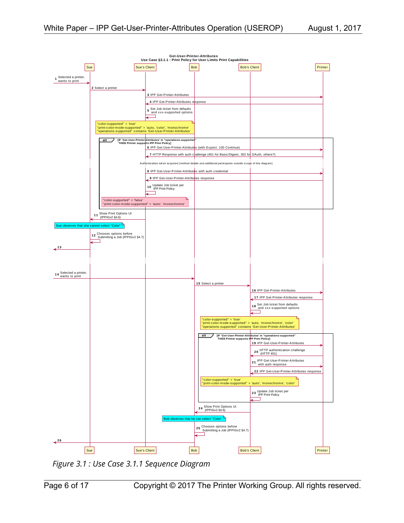

<span id="page-5-0"></span>*Figure 3.1 : Use Case 3.1.1 Sequence Diagram*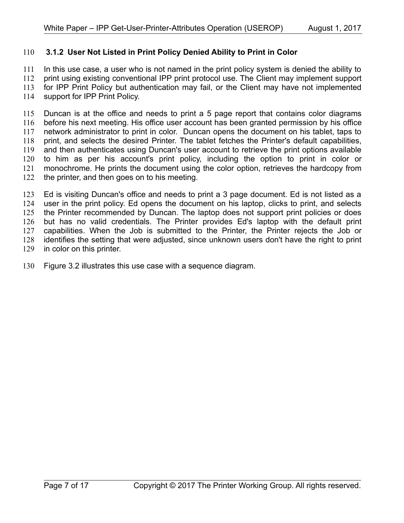#### <span id="page-6-0"></span> **3.1.2 User Not Listed in Print Policy Denied Ability to Print in Color** 110

In this use case, a user who is not named in the print policy system is denied the ability to print using existing conventional IPP print protocol use. The Client may implement support for IPP Print Policy but authentication may fail, or the Client may have not implemented support for IPP Print Policy. 111 112 113 114

Duncan is at the office and needs to print a 5 page report that contains color diagrams before his next meeting. His office user account has been granted permission by his office network administrator to print in color. Duncan opens the document on his tablet, taps to print, and selects the desired Printer. The tablet fetches the Printer's default capabilities, and then authenticates using Duncan's user account to retrieve the print options available to him as per his account's print policy, including the option to print in color or monochrome. He prints the document using the color option, retrieves the hardcopy from the printer, and then goes on to his meeting. 115 116 117 118 119 120 121 122

Ed is visiting Duncan's office and needs to print a 3 page document. Ed is not listed as a user in the print policy. Ed opens the document on his laptop, clicks to print, and selects the Printer recommended by Duncan. The laptop does not support print policies or does but has no valid credentials. The Printer provides Ed's laptop with the default print capabilities. When the Job is submitted to the Printer, the Printer rejects the Job or identifies the setting that were adjusted, since unknown users don't have the right to print in color on this printer. 123 124 125 126 127 128 129

Figure [3.2](#page-8-0) illustrates this use case with a sequence diagram. 130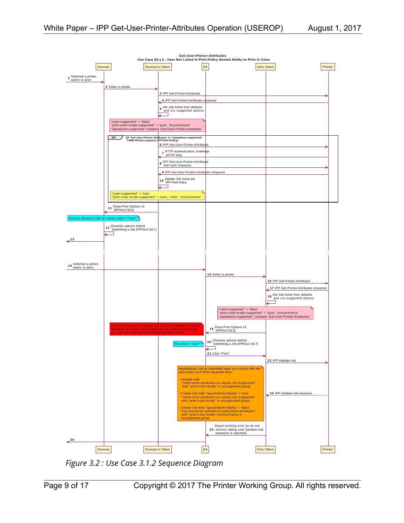

<span id="page-8-0"></span>*Figure 3.2 : Use Case 3.1.2 Sequence Diagram*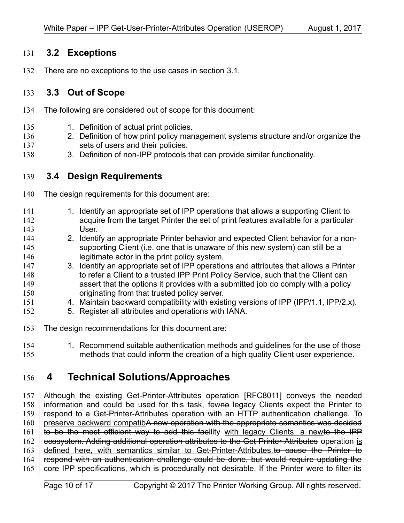#### <span id="page-9-3"></span> **3.2 Exceptions** 131

There are no exceptions to the use cases in section [3.1.](#page-4-1) 132

#### <span id="page-9-2"></span> **3.3 Out of Scope** 133

- The following are considered out of scope for this document: 134
- 1. Definition of actual print policies. 135
- 2. Definition of how print policy management systems structure and/or organize the sets of users and their policies. 136 137
- 3. Definition of non-IPP protocols that can provide similar functionality. 138

#### <span id="page-9-1"></span> **3.4 Design Requirements** 139

- The design requirements for this document are: 140
- 1. Identify an appropriate set of IPP operations that allows a supporting Client to acquire from the target Printer the set of print features available for a particular User. 141 142 143
- 2. Identify an appropriate Printer behavior and expected Client behavior for a nonsupporting Client (i.e. one that is unaware of this new system) can still be a legitimate actor in the print policy system. 144 145 146
- 3. Identify an appropriate set of IPP operations and attributes that allows a Printer to refer a Client to a trusted IPP Print Policy Service, such that the Client can assert that the options it provides with a submitted job do comply with a policy originating from that trusted policy server. 147 148 149 150
- 4. Maintain backward compatibility with existing versions of IPP (IPP/1.1, IPP/2.x). 151
- 5. Register all attributes and operations with IANA. 152
- The design recommendations for this document are: 153
- 1. Recommend suitable authentication methods and guidelines for the use of those methods that could inform the creation of a high quality Client user experience. 154 155

#### <span id="page-9-0"></span> **4 Technical Solutions/Approaches** 156

Although the existing Get-Printer-Attributes operation [\[RFC8011\]](#page-14-2) conveys the needed information and could be used for this task, fewne legacy Clients expect the Printer to respond to a Get-Printer-Attributes operation with an HTTP authentication challenge. To preserve backward compatibA new operation with the appropriate semantics was decided to be the most efficient way to add this facility with legacy Clients, a newto the IPP ecosystem. Adding additional operation attributes to the Get-Printer-Attributes operation is defined here, with semantics similar to Get-Printer-Attributes.to cause the Printer to respond with an authentication challenge could be done, but would require updating the core IPP specifications, which is procedurally not desirable. If the Printer were to filter its 157 158 159 160 161 162 163 164 165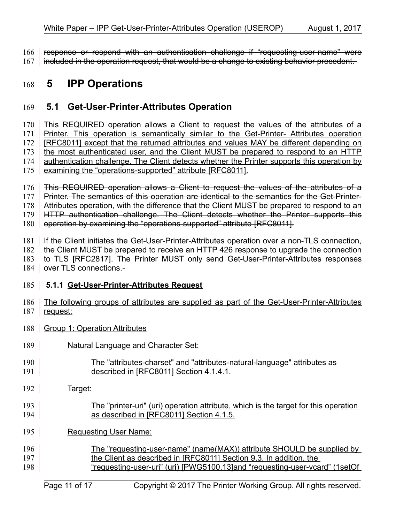response or respond with an authentication challenge if "requesting-user-name" were 166

included in the operation request, that would be a change to existing behavior precedent. 167

#### <span id="page-10-2"></span> **5 IPP Operations** 168

#### <span id="page-10-1"></span> **5.1 Get-User-Printer-Attributes Operation** 169

This REQUIRED operation allows a Client to request the values of the attributes of a Printer. This operation is semantically similar to the Get-Printer- Attributes operation [\[RFC8011\]](#page-14-2) except that the returned attributes and values MAY be different depending on the most authenticated user, and the Client MUST be prepared to respond to an HTTP authentication challenge. The Client detects whether the Printer supports this operation by examining the "operations-supported" attribute [\[RFC8011\].](#page-14-2) 170 171 172 173 174 175

This REQUIRED operation allows a Client to request the values of the attributes of a Printer. The semantics of this operation are identical to the semantics for the Get-Printer-176 177

Attributes operation, with the difference that the Client MUST be prepared to respond to an 178

HTTP authentication challenge. The Client detects whether the Printer supports this 179

operation by examining the "operations-supported" attribute [\[RFC8011\].](#page-14-2) 180

181 | If the Client initiates the Get-User-Printer-Attributes operation over a non-TLS connection,

the Client MUST be prepared to receive an HTTP 426 response to upgrade the connection 182

to TLS [\[RFC2817\].](#page-13-5) The Printer MUST only send Get-User-Printer-Attributes responses 183

184 | over TLS connections.

### <span id="page-10-0"></span>185 **5.1.1 Get-User-Printer-Attributes Request**

- The following groups of attributes are supplied as part of the Get-User-Printer-Attributes request: 186 187
- 188 | Group 1: Operation Attributes
- Natural Language and Character Set: 189
- The "attributes-charset" and "attributes-natural-language" attributes as described in [\[RFC8011\]](#page-14-2) Section 4.1.4.1. 190 191
- Target: 192
- The "printer-uri" (uri) operation attribute, which is the target for this operation as described in [\[RFC8011\]](#page-14-2) Section 4.1.5. 193 194
- Requesting User Name: 195
- The "requesting-user-name" (name(MAX)) attribute SHOULD be supplied by the Client as described in [\[RFC8011\]](#page-14-2) Section 9.3. In addition, the "requesting-user-uri" (uri) [\[PWG5100.13\]a](#page-13-4)nd "requesting-user-vcard" (1setOf 196 197 198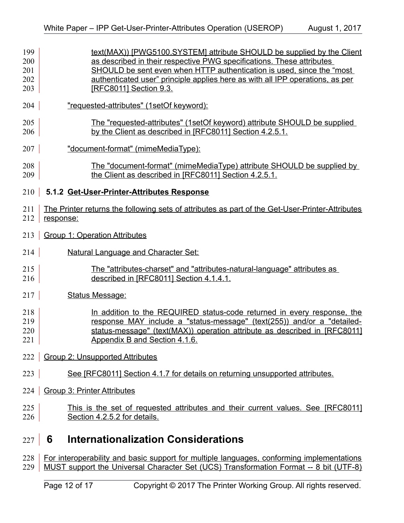<span id="page-11-1"></span>

| 199<br>200<br>201<br>202<br>203 | text(MAX)) [PWG5100.SYSTEM] attribute SHOULD be supplied by the Client<br>as described in their respective PWG specifications. These attributes<br>SHOULD be sent even when HTTP authentication is used, since the "most<br>authenticated user" principle applies here as with all IPP operations, as per<br>[RFC8011] Section 9.3. |
|---------------------------------|-------------------------------------------------------------------------------------------------------------------------------------------------------------------------------------------------------------------------------------------------------------------------------------------------------------------------------------|
| 204                             | "requested-attributes" (1setOf keyword):                                                                                                                                                                                                                                                                                            |
| 205<br>206                      | The "requested-attributes" (1setOf keyword) attribute SHOULD be supplied<br>by the Client as described in [RFC8011] Section 4.2.5.1.                                                                                                                                                                                                |
| 207                             | "document-format" (mimeMediaType):                                                                                                                                                                                                                                                                                                  |
| 208<br>209                      | <u>The "document-format" (mimeMediaType) attribute SHOULD be supplied by</u><br>the Client as described in [RFC8011] Section 4.2.5.1.                                                                                                                                                                                               |
| 210                             | 5.1.2 Get-User-Printer-Attributes Response                                                                                                                                                                                                                                                                                          |
| 211<br>212                      | The Printer returns the following sets of attributes as part of the Get-User-Printer-Attributes<br>response:                                                                                                                                                                                                                        |
| 213                             | <b>Group 1: Operation Attributes</b>                                                                                                                                                                                                                                                                                                |
| 214                             | <b>Natural Language and Character Set:</b>                                                                                                                                                                                                                                                                                          |
| 215<br>216                      | The "attributes-charset" and "attributes-natural-language" attributes as<br>described in [RFC8011] Section 4.1.4.1.                                                                                                                                                                                                                 |
| 217                             | <b>Status Message:</b>                                                                                                                                                                                                                                                                                                              |
| 218<br>219<br>220<br>221        | In addition to the REQUIRED status-code returned in every response, the<br>response MAY include a "status-message" (text(255)) and/or a "detailed-<br>status-message" (text(MAX)) operation attribute as described in [RFC8011]<br>Appendix B and Section 4.1.6.                                                                    |
|                                 | 222   Group 2: Unsupported Attributes                                                                                                                                                                                                                                                                                               |
| 223                             | See [RFC8011] Section 4.1.7 for details on returning unsupported attributes.                                                                                                                                                                                                                                                        |
| 224                             | <b>Group 3: Printer Attributes</b>                                                                                                                                                                                                                                                                                                  |
| 225<br>226                      | This is the set of requested attributes and their current values. See [RFC8011]<br>Section 4.2.5.2 for details.                                                                                                                                                                                                                     |
| 227                             | <b>Internationalization Considerations</b><br>6                                                                                                                                                                                                                                                                                     |
| 228                             | For interoperability and basic support for multiple languages, conforming implementations                                                                                                                                                                                                                                           |

<span id="page-11-0"></span>229 | MUST support the Universal Character Set (UCS) Transformation Format -- 8 bit (UTF-8)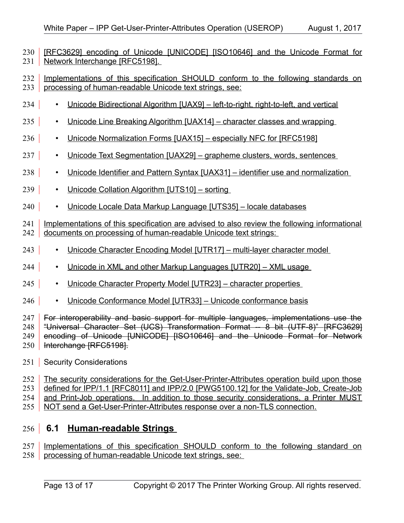[\[RFC3629\]](#page-13-9) encoding of Unicode [\[UNICODE\]](#page-14-11) [\[ISO10646\]](#page-13-8) and the Unicode Format for Network Interchange [\[RFC5198\].](#page-14-7) 230 l 231

Implementations of this specification SHOULD conform to the following standards on processing of human-readable Unicode text strings, see: 232 233

- Unicode Bidirectional Algorithm [\[UAX9\]](#page-14-10)  left-to-right, right-to-left, and vertical 234 |
- Unicode Line Breaking Algorithm [\[UAX14\]](#page-14-9)  character classes and wrapping 235
- Unicode Normalization Forms [\[UAX15\]](#page-14-8)  especially NFC for [\[RFC5198\]](#page-14-7) 236
- Unicode Text Segmentation [\[UAX29\]](#page-14-6)  grapheme clusters, words, sentences  $237$
- Unicode Identifier and Pattern Syntax [\[UAX31\]](#page-14-5)  identifier use and normalization 238
- Unicode Collation Algorithm [\[UTS10\]](#page-14-4)  sorting 239 |
- Unicode Locale Data Markup Language [\[UTS35\]](#page-14-3)  locale databases  $240$

Implementations of this specification are advised to also review the following informational 242 documents on processing of human-readable Unicode text strings: 241

- Unicode Character Encoding Model [\[UTR17\]](#page-15-4)  multi-layer character model 243
- Unicode in XML and other Markup Languages [\[UTR20\]](#page-15-3)  XML usage 244 |
- Unicode Character Property Model [\[UTR23\]](#page-15-2)  character properties  $245$
- Unicode Conformance Model [\[UTR33\]](#page-15-1)  Unicode conformance basis 246

For interoperability and basic support for multiple languages, implementations use the "Universal Character Set (UCS) Transformation Format -- 8 bit (UTF-8)" [\[RFC3629\]](#page-13-9) encoding of Unicode [\[UNICODE\]](#page-14-11) [\[ISO10646\]](#page-13-8) and the Unicode Format for Network Interchange [\[RFC5198\].](#page-14-7) 247 248 249 250

<span id="page-12-1"></span>251 | Security Considerations

The security considerations for the Get-User-Printer-Attributes operation build upon those defined for IPP/1.1 [\[RFC8011\]](#page-14-2) and IPP/2.0 [\[PWG5100.12\]](#page-13-7) for the Validate-Job, Create-Job and Print-Job operations. In addition to those security considerations, a Printer MUST NOT send a Get-User-Printer-Attributes response over a non-TLS connection. 252 253 254 255

#### <span id="page-12-0"></span> **6.1 Human-readable Strings**   $256$

Implementations of this specification SHOULD conform to the following standard on processing of human-readable Unicode text strings, see: 257 258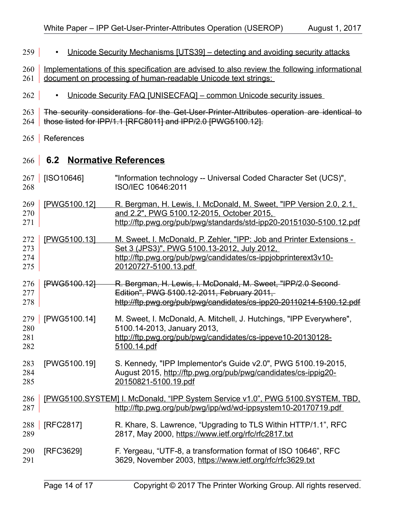- Unicode Security Mechanisms [\[UTS39\]](#page-14-13)  detecting and avoiding security attacks  $259$
- Implementations of this specification are advised to also review the following informational document on processing of human-readable Unicode text strings: 260 261
- Unicode Security FAQ [\[UNISECFAQ\]](#page-14-12)  common Unicode security issues 262
- The security considerations for the Get-User-Printer-Attributes operation are identical to 263
- 264 | those listed for IPP/1.1 [\[RFC8011\]](#page-14-2) and IPP/2.0 [\[PWG5100.12\].](#page-13-7)
- <span id="page-13-1"></span>265 References

## <span id="page-13-0"></span> **6.2 Normative References** 266

<span id="page-13-9"></span><span id="page-13-8"></span><span id="page-13-7"></span><span id="page-13-6"></span><span id="page-13-5"></span><span id="page-13-4"></span><span id="page-13-3"></span><span id="page-13-2"></span>

| [PWG5100.12]<br>269<br>R. Bergman, H. Lewis, I. McDonald, M. Sweet, "IPP Version 2.0, 2.1,<br>and 2.2", PWG 5100.12-2015, October 2015,<br>270<br>271<br>[PWG5100.13]<br>272<br>M. Sweet, I. McDonald, P. Zehler, "IPP: Job and Printer Extensions -<br>Set 3 (JPS3)", PWG 5100.13-2012, July 2012,<br>273<br>274<br>http://ftp.pwg.org/pub/pwg/candidates/cs-ippjobprinterext3v10-<br>20120727-5100.13.pdf<br>275<br>276<br>[PWG5100.12]<br>R. Bergman, H. Lewis, I. McDonald, M. Sweet, "IPP/2.0 Second-<br>Edition", PWG 5100.12-2011, February 2011,<br>277<br>278<br>[PWG5100.14]<br>279<br>M. Sweet, I. McDonald, A. Mitchell, J. Hutchings, "IPP Everywhere",<br>5100.14-2013, January 2013,<br>280<br>281<br>http://ftp.pwg.org/pub/pwg/candidates/cs-ippeve10-20130128-<br>282<br>5100.14.pdf<br>S. Kennedy, "IPP Implementor's Guide v2.0", PWG 5100.19-2015,<br>283<br>[PWG5100.19]<br>284<br>August 2015, http://ftp.pwg.org/pub/pwg/candidates/cs-ippig20-<br>285<br>20150821-5100.19.pdf<br>286<br>[PWG5100.SYSTEM] I. McDonald, "IPP System Service v1.0", PWG 5100.SYSTEM, TBD,<br>287<br>http://ftp.pwg.org/pub/pwg/ipp/wd/wd-ippsystem10-20170719.pdf<br>288<br>[RFC2817]<br>R. Khare, S. Lawrence, "Upgrading to TLS Within HTTP/1.1", RFC<br>2817, May 2000, https://www.ietf.org/rfc/rfc2817.txt<br>289<br>[RFC3629]<br>F. Yergeau, "UTF-8, a transformation format of ISO 10646", RFC<br>290<br>3629, November 2003, https://www.ietf.org/rfc/rfc3629.txt<br>291 | 267<br>268 | [ISO10646] | "Information technology -- Universal Coded Character Set (UCS)",<br>ISO/IEC 10646:2011 |
|----------------------------------------------------------------------------------------------------------------------------------------------------------------------------------------------------------------------------------------------------------------------------------------------------------------------------------------------------------------------------------------------------------------------------------------------------------------------------------------------------------------------------------------------------------------------------------------------------------------------------------------------------------------------------------------------------------------------------------------------------------------------------------------------------------------------------------------------------------------------------------------------------------------------------------------------------------------------------------------------------------------------------------------------------------------------------------------------------------------------------------------------------------------------------------------------------------------------------------------------------------------------------------------------------------------------------------------------------------------------------------------------------------------------------------------------------------------------------------------|------------|------------|----------------------------------------------------------------------------------------|
|                                                                                                                                                                                                                                                                                                                                                                                                                                                                                                                                                                                                                                                                                                                                                                                                                                                                                                                                                                                                                                                                                                                                                                                                                                                                                                                                                                                                                                                                                        |            |            | http://ftp.pwg.org/pub/pwg/standards/std-ipp20-20151030-5100.12.pdf                    |
|                                                                                                                                                                                                                                                                                                                                                                                                                                                                                                                                                                                                                                                                                                                                                                                                                                                                                                                                                                                                                                                                                                                                                                                                                                                                                                                                                                                                                                                                                        |            |            |                                                                                        |
|                                                                                                                                                                                                                                                                                                                                                                                                                                                                                                                                                                                                                                                                                                                                                                                                                                                                                                                                                                                                                                                                                                                                                                                                                                                                                                                                                                                                                                                                                        |            |            | http://ftp.pwg.org/pub/pwg/candidates/cs-ipp20-20110214-5100.12.pdf                    |
|                                                                                                                                                                                                                                                                                                                                                                                                                                                                                                                                                                                                                                                                                                                                                                                                                                                                                                                                                                                                                                                                                                                                                                                                                                                                                                                                                                                                                                                                                        |            |            |                                                                                        |
|                                                                                                                                                                                                                                                                                                                                                                                                                                                                                                                                                                                                                                                                                                                                                                                                                                                                                                                                                                                                                                                                                                                                                                                                                                                                                                                                                                                                                                                                                        |            |            |                                                                                        |
|                                                                                                                                                                                                                                                                                                                                                                                                                                                                                                                                                                                                                                                                                                                                                                                                                                                                                                                                                                                                                                                                                                                                                                                                                                                                                                                                                                                                                                                                                        |            |            |                                                                                        |
|                                                                                                                                                                                                                                                                                                                                                                                                                                                                                                                                                                                                                                                                                                                                                                                                                                                                                                                                                                                                                                                                                                                                                                                                                                                                                                                                                                                                                                                                                        |            |            |                                                                                        |
|                                                                                                                                                                                                                                                                                                                                                                                                                                                                                                                                                                                                                                                                                                                                                                                                                                                                                                                                                                                                                                                                                                                                                                                                                                                                                                                                                                                                                                                                                        |            |            |                                                                                        |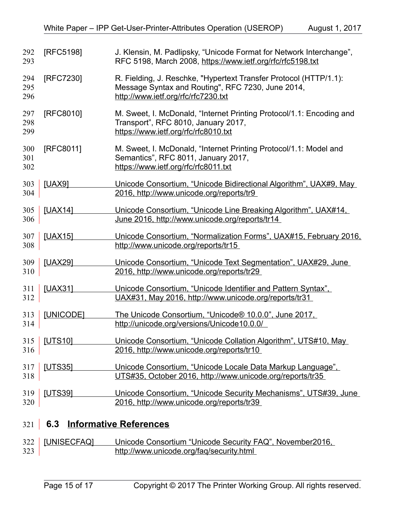<span id="page-14-10"></span><span id="page-14-9"></span><span id="page-14-8"></span><span id="page-14-7"></span><span id="page-14-2"></span><span id="page-14-1"></span>

| 292<br>293        | [RFC5198]      | J. Klensin, M. Padlipsky, "Unicode Format for Network Interchange",<br>RFC 5198, March 2008, https://www.ietf.org/rfc/rfc5198.txt                             |
|-------------------|----------------|---------------------------------------------------------------------------------------------------------------------------------------------------------------|
| 294<br>295<br>296 | [RFC7230]      | R. Fielding, J. Reschke, "Hypertext Transfer Protocol (HTTP/1.1):<br>Message Syntax and Routing", RFC 7230, June 2014,<br>http://www.ietf.org/rfc/rfc7230.txt |
| 297<br>298<br>299 | [RFC8010]      | M. Sweet, I. McDonald, "Internet Printing Protocol/1.1: Encoding and<br>Transport", RFC 8010, January 2017,<br>https://www.ietf.org/rfc/rfc8010.txt           |
| 300<br>301<br>302 | [RFC8011]      | M. Sweet, I. McDonald, "Internet Printing Protocol/1.1: Model and<br>Semantics", RFC 8011, January 2017,<br>https://www.ietf.org/rfc/rfc8011.txt              |
| 303<br>304        | <b>[UAX9]</b>  | Unicode Consortium, "Unicode Bidirectional Algorithm", UAX#9, May<br>2016, http://www.unicode.org/reports/tr9                                                 |
| 305<br>306        | [UAX14]        | Unicode Consortium, "Unicode Line Breaking Algorithm", UAX#14,<br>June 2016, http://www.unicode.org/reports/tr14                                              |
| 307<br>308        | [UAX15]        | Unicode Consortium, "Normalization Forms", UAX#15, February 2016,<br>http://www.unicode.org/reports/tr15                                                      |
| 309<br>310        | [UAX29]        | Unicode Consortium, "Unicode Text Segmentation", UAX#29, June<br>2016, http://www.unicode.org/reports/tr29                                                    |
| 311<br>312        | [UAX31]        | Unicode Consortium, "Unicode Identifier and Pattern Syntax".<br>UAX#31, May 2016, http://www.unicode.org/reports/tr31                                         |
| 313<br>314        | [UNICODE]      | The Unicode Consortium, "Unicode® 10.0.0", June 2017,<br>http://unicode.org/versions/Unicode10.0.0/                                                           |
| 316               | 315 [UTS10]    | Unicode Consortium, "Unicode Collation Algorithm", UTS#10, May<br>2016, http://www.unicode.org/reports/tr10                                                   |
| 317<br>318        | <b>[UTS35]</b> | Unicode Consortium, "Unicode Locale Data Markup Language",<br>UTS#35. October 2016, http://www.unicode.org/reports/tr35                                       |
| 319<br>320        | <b>IUTS391</b> | Unicode Consortium, "Unicode Security Mechanisms", UTS#39, June<br>2016, http://www.unicode.org/reports/tr39                                                  |

# <span id="page-14-13"></span><span id="page-14-11"></span><span id="page-14-6"></span><span id="page-14-5"></span><span id="page-14-4"></span><span id="page-14-3"></span><span id="page-14-0"></span> **6.3 Informative References** 321

<span id="page-14-12"></span>

|     | 322 [UNISECFAQ] | Unicode Consortium "Unicode Security FAQ", November 2016, |
|-----|-----------------|-----------------------------------------------------------|
| 323 |                 | http://www.unicode.org/fag/security.html                  |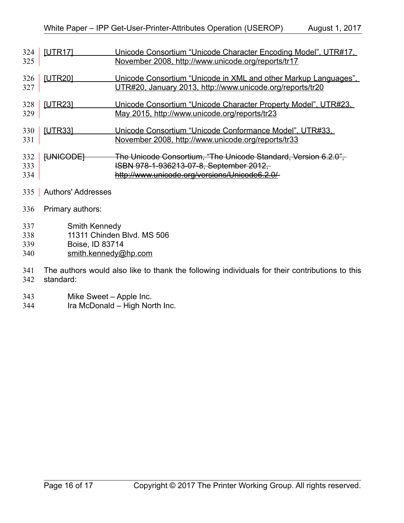<span id="page-15-4"></span><span id="page-15-3"></span><span id="page-15-2"></span><span id="page-15-1"></span>

| 324<br>325        | <b>[UTR17]</b>                                                 | Unicode Consortium "Unicode Character Encoding Model", UTR#17,<br>November 2008, http://www.unicode.org/reports/tr17                                        |
|-------------------|----------------------------------------------------------------|-------------------------------------------------------------------------------------------------------------------------------------------------------------|
| 326<br>327        | [UTR20]                                                        | Unicode Consortium "Unicode in XML and other Markup Languages".<br>UTR#20, January 2013, http://www.unicode.org/reports/tr20                                |
| 328<br>329        | <b>[UTR23]</b>                                                 | Unicode Consortium "Unicode Character Property Model", UTR#23,<br>May 2015, http://www.unicode.org/reports/tr23                                             |
| 330<br>331        | <b>[UTR33]</b>                                                 | Unicode Consortium "Unicode Conformance Model", UTR#33,<br><u>November 2008, http://www.unicode.org/reports/tr33</u>                                        |
| 332<br>333<br>334 | <b>[UNICODE]</b>                                               | The Unicode Consortium, "The Unicode Standard, Version 6.2.0",<br>ISBN 978-1-936213-07-8, September 2012,<br>http://www.unicode.org/versions/Unicode6.2.0/- |
| 335               | <b>Authors' Addresses</b>                                      |                                                                                                                                                             |
| 336               | Primary authors:                                               |                                                                                                                                                             |
| 337<br>338<br>339 | Smith Kennedy<br>11311 Chinden Blvd. MS 506<br>Boise, ID 83714 |                                                                                                                                                             |

<span id="page-15-0"></span>[smith.kennedy@hp.com](mailto:smith.kennedy@hp.com) 340

The authors would also like to thank the following individuals for their contributions to this 341

- standard: 342
- Mike Sweet Apple Inc. 343
- Ira McDonald High North Inc. 344